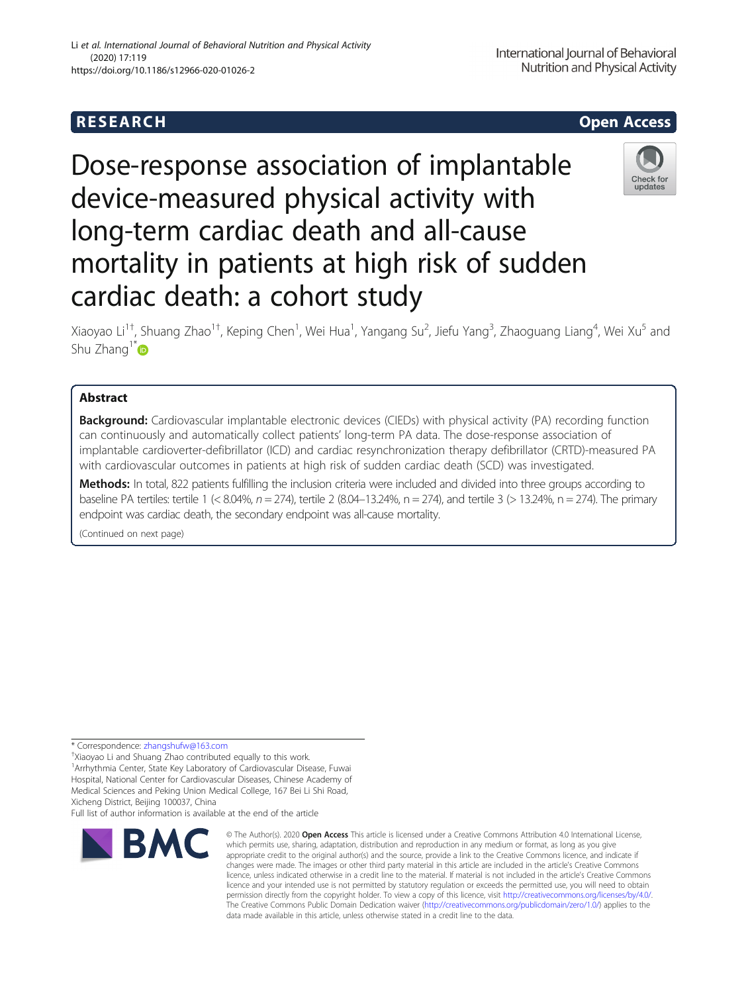# **RESEARCH CHEAR CHEAR CHEAR CHEAR CHEAR CHEAR CHEAR CHEAR CHEAR CHEAR CHEAR CHEAR CHEAR CHEAR CHEAR CHEAR CHEAR** https://doi.org/10.1186/s12966-020-01026-2

# Li et al. International Journal of Behavioral Nutrition and Physical Activity (2020) 17:119

Dose-response association of implantable device-measured physical activity with long-term cardiac death and all-cause mortality in patients at high risk of sudden cardiac death: a cohort study

Xiaoyao Li<sup>1†</sup>, Shuang Zhao<sup>1†</sup>, Keping Chen<sup>1</sup>, Wei Hua<sup>1</sup>, Yangang Su<sup>2</sup>, Jiefu Yang<sup>3</sup>, Zhaoguang Liang<sup>4</sup>, Wei Xu<sup>5</sup> and Shu Zhang<sup>1[\\*](http://orcid.org/0000-0003-1288-6737)</sup>

## Abstract

**Background:** Cardiovascular implantable electronic devices (CIEDs) with physical activity (PA) recording function can continuously and automatically collect patients' long-term PA data. The dose-response association of implantable cardioverter-defibrillator (ICD) and cardiac resynchronization therapy defibrillator (CRTD)-measured PA with cardiovascular outcomes in patients at high risk of sudden cardiac death (SCD) was investigated.

Methods: In total, 822 patients fulfilling the inclusion criteria were included and divided into three groups according to baseline PA tertiles: tertile 1 (< 8.04%, n = 274), tertile 2 (8.04–13.24%, n = 274), and tertile 3 (> 13.24%, n = 274). The primary endpoint was cardiac death, the secondary endpoint was all-cause mortality.

(Continued on next page)

\* Correspondence: [zhangshufw@163.com](mailto:zhangshufw@163.com) †

<sup>+</sup>Xiaoyao Li and Shuang Zhao contributed equally to this work. <sup>1</sup> Arrhythmia Center, State Key Laboratory of Cardiovascular Disease, Fuwai Hospital, National Center for Cardiovascular Diseases, Chinese Academy of Medical Sciences and Peking Union Medical College, 167 Bei Li Shi Road, Xicheng District, Beijing 100037, China

Full list of author information is available at the end of the article



<sup>©</sup> The Author(s), 2020 **Open Access** This article is licensed under a Creative Commons Attribution 4.0 International License, which permits use, sharing, adaptation, distribution and reproduction in any medium or format, as long as you give appropriate credit to the original author(s) and the source, provide a link to the Creative Commons licence, and indicate if changes were made. The images or other third party material in this article are included in the article's Creative Commons licence, unless indicated otherwise in a credit line to the material. If material is not included in the article's Creative Commons licence and your intended use is not permitted by statutory regulation or exceeds the permitted use, you will need to obtain permission directly from the copyright holder. To view a copy of this licence, visit [http://creativecommons.org/licenses/by/4.0/.](http://creativecommons.org/licenses/by/4.0/) The Creative Commons Public Domain Dedication waiver [\(http://creativecommons.org/publicdomain/zero/1.0/](http://creativecommons.org/publicdomain/zero/1.0/)) applies to the data made available in this article, unless otherwise stated in a credit line to the data.





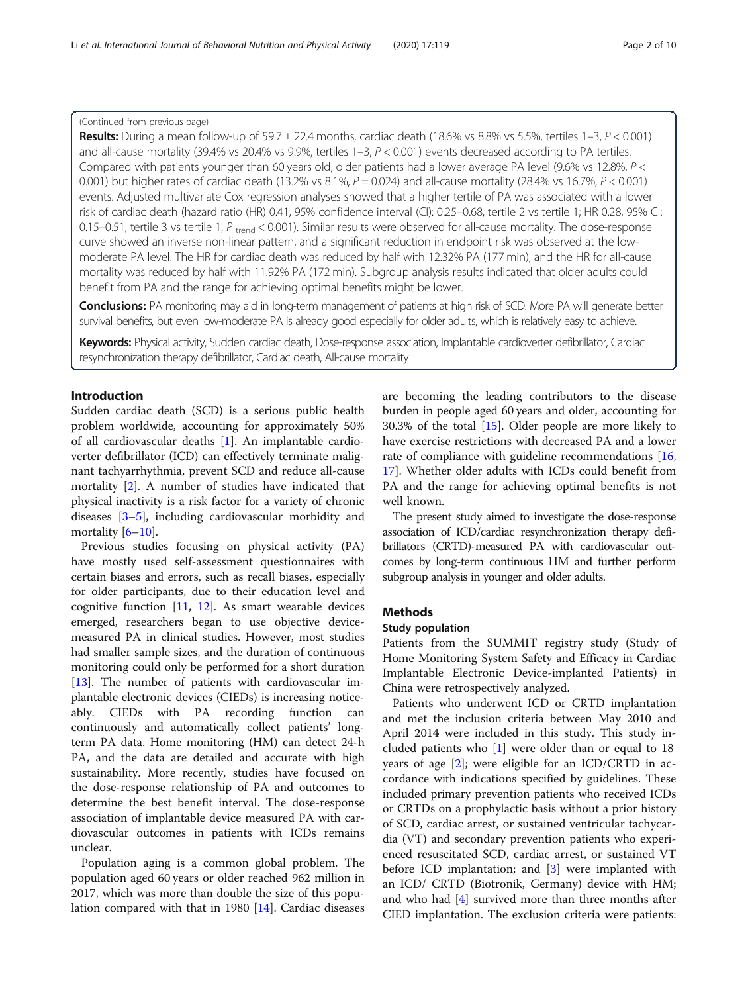## (Continued from previous page)

Results: During a mean follow-up of 59.7  $\pm$  22.4 months, cardiac death (18.6% vs 8.8% vs 5.5%, tertiles 1–3,  $P < 0.001$ ) and all-cause mortality (39.4% vs 20.4% vs 9.9%, tertiles  $1-3$ ,  $P < 0.001$ ) events decreased according to PA tertiles. Compared with patients younger than 60 years old, older patients had a lower average PA level (9.6% vs 12.8%, P < 0.001) but higher rates of cardiac death (13.2% vs 8.1%,  $P = 0.024$ ) and all-cause mortality (28.4% vs 16.7%,  $P < 0.001$ ) events. Adjusted multivariate Cox regression analyses showed that a higher tertile of PA was associated with a lower risk of cardiac death (hazard ratio (HR) 0.41, 95% confidence interval (CI): 0.25–0.68, tertile 2 vs tertile 1; HR 0.28, 95% CI: 0.15–0.51, tertile 3 vs tertile 1,  $P_{\text{trend}}$  < 0.001). Similar results were observed for all-cause mortality. The dose-response curve showed an inverse non-linear pattern, and a significant reduction in endpoint risk was observed at the lowmoderate PA level. The HR for cardiac death was reduced by half with 12.32% PA (177 min), and the HR for all-cause mortality was reduced by half with 11.92% PA (172 min). Subgroup analysis results indicated that older adults could benefit from PA and the range for achieving optimal benefits might be lower.

Conclusions: PA monitoring may aid in long-term management of patients at high risk of SCD. More PA will generate better survival benefits, but even low-moderate PA is already good especially for older adults, which is relatively easy to achieve.

Keywords: Physical activity, Sudden cardiac death, Dose-response association, Implantable cardioverter defibrillator, Cardiac resynchronization therapy defibrillator, Cardiac death, All-cause mortality

## Introduction

Sudden cardiac death (SCD) is a serious public health problem worldwide, accounting for approximately 50% of all cardiovascular deaths [[1\]](#page-9-0). An implantable cardioverter defibrillator (ICD) can effectively terminate malignant tachyarrhythmia, prevent SCD and reduce all-cause mortality [[2](#page-9-0)]. A number of studies have indicated that physical inactivity is a risk factor for a variety of chronic diseases [\[3](#page-9-0)–[5](#page-9-0)], including cardiovascular morbidity and mortality  $[6-10]$  $[6-10]$  $[6-10]$  $[6-10]$ .

Previous studies focusing on physical activity (PA) have mostly used self-assessment questionnaires with certain biases and errors, such as recall biases, especially for older participants, due to their education level and cognitive function [[11](#page-9-0), [12](#page-9-0)]. As smart wearable devices emerged, researchers began to use objective devicemeasured PA in clinical studies. However, most studies had smaller sample sizes, and the duration of continuous monitoring could only be performed for a short duration [[13\]](#page-9-0). The number of patients with cardiovascular implantable electronic devices (CIEDs) is increasing noticeably. CIEDs with PA recording function can continuously and automatically collect patients' longterm PA data. Home monitoring (HM) can detect 24-h PA, and the data are detailed and accurate with high sustainability. More recently, studies have focused on the dose-response relationship of PA and outcomes to determine the best benefit interval. The dose-response association of implantable device measured PA with cardiovascular outcomes in patients with ICDs remains unclear.

Population aging is a common global problem. The population aged 60 years or older reached 962 million in 2017, which was more than double the size of this population compared with that in 1980 [\[14\]](#page-9-0). Cardiac diseases

are becoming the leading contributors to the disease burden in people aged 60 years and older, accounting for 30.3% of the total [\[15](#page-9-0)]. Older people are more likely to have exercise restrictions with decreased PA and a lower rate of compliance with guideline recommendations [[16](#page-9-0), [17\]](#page-9-0). Whether older adults with ICDs could benefit from PA and the range for achieving optimal benefits is not well known.

The present study aimed to investigate the dose-response association of ICD/cardiac resynchronization therapy defibrillators (CRTD)-measured PA with cardiovascular outcomes by long-term continuous HM and further perform subgroup analysis in younger and older adults.

## **Methods**

## Study population

Patients from the SUMMIT registry study (Study of Home Monitoring System Safety and Efficacy in Cardiac Implantable Electronic Device-implanted Patients) in China were retrospectively analyzed.

Patients who underwent ICD or CRTD implantation and met the inclusion criteria between May 2010 and April 2014 were included in this study. This study included patients who [\[1](#page-9-0)] were older than or equal to 18 years of age  $[2]$  $[2]$ ; were eligible for an ICD/CRTD in accordance with indications specified by guidelines. These included primary prevention patients who received ICDs or CRTDs on a prophylactic basis without a prior history of SCD, cardiac arrest, or sustained ventricular tachycardia (VT) and secondary prevention patients who experienced resuscitated SCD, cardiac arrest, or sustained VT before ICD implantation; and [\[3](#page-9-0)] were implanted with an ICD/ CRTD (Biotronik, Germany) device with HM; and who had [[4](#page-9-0)] survived more than three months after CIED implantation. The exclusion criteria were patients: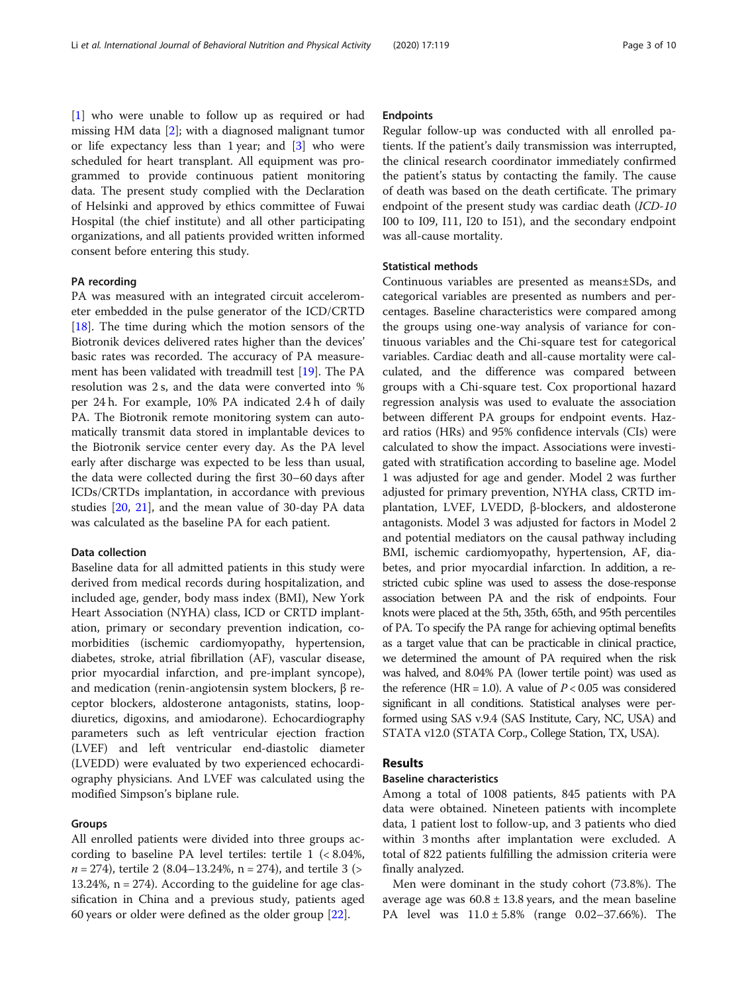[[1\]](#page-9-0) who were unable to follow up as required or had missing HM data [[2](#page-9-0)]; with a diagnosed malignant tumor or life expectancy less than 1 year; and  $\begin{bmatrix} 3 \end{bmatrix}$  who were scheduled for heart transplant. All equipment was programmed to provide continuous patient monitoring data. The present study complied with the Declaration of Helsinki and approved by ethics committee of Fuwai Hospital (the chief institute) and all other participating organizations, and all patients provided written informed consent before entering this study.

## PA recording

PA was measured with an integrated circuit accelerometer embedded in the pulse generator of the ICD/CRTD [[18\]](#page-9-0). The time during which the motion sensors of the Biotronik devices delivered rates higher than the devices' basic rates was recorded. The accuracy of PA measurement has been validated with treadmill test [[19](#page-9-0)]. The PA resolution was 2 s, and the data were converted into % per 24 h. For example, 10% PA indicated 2.4 h of daily PA. The Biotronik remote monitoring system can automatically transmit data stored in implantable devices to the Biotronik service center every day. As the PA level early after discharge was expected to be less than usual, the data were collected during the first 30–60 days after ICDs/CRTDs implantation, in accordance with previous studies [[20,](#page-9-0) [21\]](#page-9-0), and the mean value of 30-day PA data was calculated as the baseline PA for each patient.

### Data collection

Baseline data for all admitted patients in this study were derived from medical records during hospitalization, and included age, gender, body mass index (BMI), New York Heart Association (NYHA) class, ICD or CRTD implantation, primary or secondary prevention indication, comorbidities (ischemic cardiomyopathy, hypertension, diabetes, stroke, atrial fibrillation (AF), vascular disease, prior myocardial infarction, and pre-implant syncope), and medication (renin-angiotensin system blockers, β receptor blockers, aldosterone antagonists, statins, loopdiuretics, digoxins, and amiodarone). Echocardiography parameters such as left ventricular ejection fraction (LVEF) and left ventricular end-diastolic diameter (LVEDD) were evaluated by two experienced echocardiography physicians. And LVEF was calculated using the modified Simpson's biplane rule.

### Groups

All enrolled patients were divided into three groups according to baseline PA level tertiles: tertile 1 (< 8.04%,  $n = 274$ ), tertile 2 (8.04–13.24%, n = 274), and tertile 3 (> 13.24%, n = 274). According to the guideline for age classification in China and a previous study, patients aged 60 years or older were defined as the older group [[22\]](#page-9-0).

## Endpoints

Regular follow-up was conducted with all enrolled patients. If the patient's daily transmission was interrupted, the clinical research coordinator immediately confirmed the patient's status by contacting the family. The cause of death was based on the death certificate. The primary endpoint of the present study was cardiac death (ICD-10 I00 to I09, I11, I20 to I51), and the secondary endpoint was all-cause mortality.

## Statistical methods

Continuous variables are presented as means±SDs, and categorical variables are presented as numbers and percentages. Baseline characteristics were compared among the groups using one-way analysis of variance for continuous variables and the Chi-square test for categorical variables. Cardiac death and all-cause mortality were calculated, and the difference was compared between groups with a Chi-square test. Cox proportional hazard regression analysis was used to evaluate the association between different PA groups for endpoint events. Hazard ratios (HRs) and 95% confidence intervals (CIs) were calculated to show the impact. Associations were investigated with stratification according to baseline age. Model 1 was adjusted for age and gender. Model 2 was further adjusted for primary prevention, NYHA class, CRTD implantation, LVEF, LVEDD, β-blockers, and aldosterone antagonists. Model 3 was adjusted for factors in Model 2 and potential mediators on the causal pathway including BMI, ischemic cardiomyopathy, hypertension, AF, diabetes, and prior myocardial infarction. In addition, a restricted cubic spline was used to assess the dose-response association between PA and the risk of endpoints. Four knots were placed at the 5th, 35th, 65th, and 95th percentiles of PA. To specify the PA range for achieving optimal benefits as a target value that can be practicable in clinical practice, we determined the amount of PA required when the risk was halved, and 8.04% PA (lower tertile point) was used as the reference (HR = 1.0). A value of  $P < 0.05$  was considered significant in all conditions. Statistical analyses were performed using SAS v.9.4 (SAS Institute, Cary, NC, USA) and STATA v12.0 (STATA Corp., College Station, TX, USA).

## **Results**

## Baseline characteristics

Among a total of 1008 patients, 845 patients with PA data were obtained. Nineteen patients with incomplete data, 1 patient lost to follow-up, and 3 patients who died within 3 months after implantation were excluded. A total of 822 patients fulfilling the admission criteria were finally analyzed.

Men were dominant in the study cohort (73.8%). The average age was  $60.8 \pm 13.8$  years, and the mean baseline PA level was 11.0 ± 5.8% (range 0.02–37.66%). The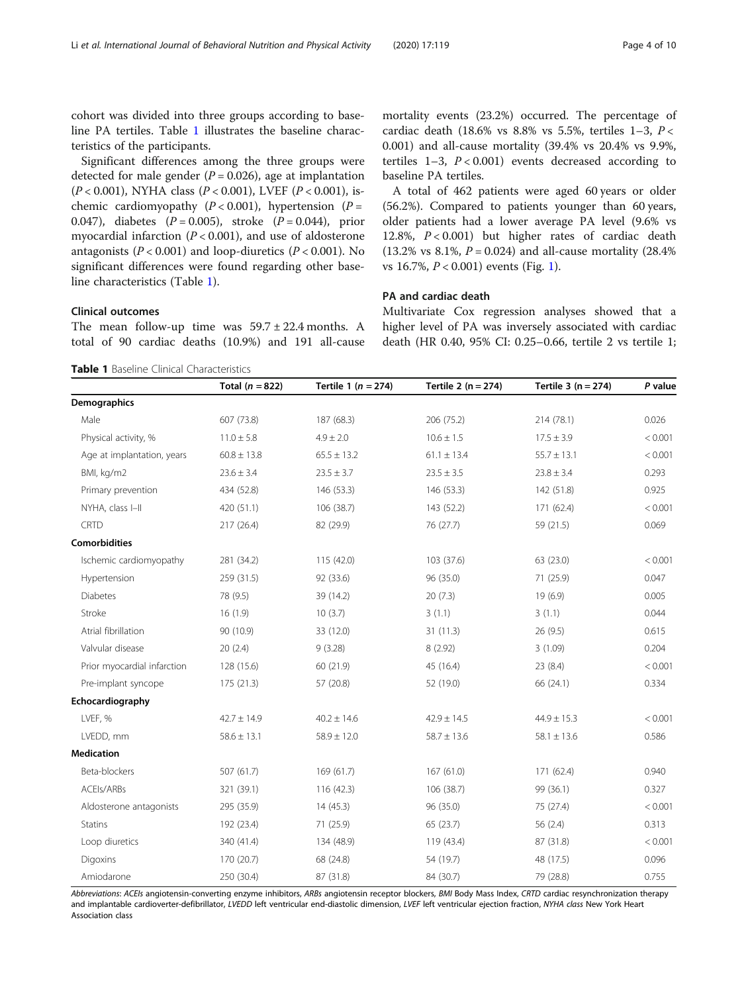cohort was divided into three groups according to baseline PA tertiles. Table 1 illustrates the baseline characteristics of the participants.

Significant differences among the three groups were detected for male gender ( $P = 0.026$ ), age at implantation  $(P < 0.001)$ , NYHA class  $(P < 0.001)$ , LVEF  $(P < 0.001)$ , ischemic cardiomyopathy ( $P < 0.001$ ), hypertension ( $P =$ 0.047), diabetes  $(P = 0.005)$ , stroke  $(P = 0.044)$ , prior myocardial infarction ( $P < 0.001$ ), and use of aldosterone antagonists ( $P < 0.001$ ) and loop-diuretics ( $P < 0.001$ ). No significant differences were found regarding other baseline characteristics (Table 1).

## Clinical outcomes

The mean follow-up time was  $59.7 \pm 22.4$  months. A total of 90 cardiac deaths (10.9%) and 191 all-cause

mortality events (23.2%) occurred. The percentage of cardiac death (18.6% vs 8.8% vs 5.5%, tertiles  $1-3$ ,  $P <$ 0.001) and all-cause mortality (39.4% vs 20.4% vs 9.9%, tertiles  $1-3$ ,  $P < 0.001$ ) events decreased according to baseline PA tertiles.

A total of 462 patients were aged 60 years or older (56.2%). Compared to patients younger than 60 years, older patients had a lower average PA level (9.6% vs 12.8%,  $P < 0.001$ ) but higher rates of cardiac death (13.2% vs 8.1%,  $P = 0.024$ ) and all-cause mortality (28.4%) vs 16.7%, P < 0.001) events (Fig. [1\)](#page-4-0).

## PA and cardiac death

Multivariate Cox regression analyses showed that a higher level of PA was inversely associated with cardiac death (HR 0.40, 95% CI: 0.25–0.66, tertile 2 vs tertile 1;

Table 1 Baseline Clinical Characteristics

|                             | Total ( $n = 822$ ) | Tertile 1 ( $n = 274$ ) | Tertile 2 ( $n = 274$ ) | Tertile $3(n = 274)$ | P value |
|-----------------------------|---------------------|-------------------------|-------------------------|----------------------|---------|
| Demographics                |                     |                         |                         |                      |         |
| Male                        | 607 (73.8)          | 187 (68.3)              | 206 (75.2)              | 214 (78.1)           | 0.026   |
| Physical activity, %        | $11.0 \pm 5.8$      | $4.9 \pm 2.0$           | $10.6 \pm 1.5$          | $17.5 \pm 3.9$       | < 0.001 |
| Age at implantation, years  | $60.8 \pm 13.8$     | $65.5 \pm 13.2$         | $61.1 \pm 13.4$         | $55.7 \pm 13.1$      | < 0.001 |
| BMI, kg/m2                  | $23.6 \pm 3.4$      | $23.5 \pm 3.7$          | $23.5 \pm 3.5$          | $23.8 \pm 3.4$       | 0.293   |
| Primary prevention          | 434 (52.8)          | 146 (53.3)              | 146 (53.3)              | 142 (51.8)           | 0.925   |
| NYHA, class I-II            | 420 (51.1)          | 106 (38.7)              | 143 (52.2)              | 171 (62.4)           | < 0.001 |
| <b>CRTD</b>                 | 217 (26.4)          | 82 (29.9)               | 76 (27.7)               | 59 (21.5)            | 0.069   |
| <b>Comorbidities</b>        |                     |                         |                         |                      |         |
| Ischemic cardiomyopathy     | 281 (34.2)          | 115 (42.0)              | 103 (37.6)              | 63 (23.0)            | < 0.001 |
| Hypertension                | 259 (31.5)          | 92 (33.6)               | 96 (35.0)               | 71 (25.9)            | 0.047   |
| <b>Diabetes</b>             | 78 (9.5)            | 39 (14.2)               | 20(7.3)                 | 19 (6.9)             | 0.005   |
| Stroke                      | 16(1.9)             | 10(3.7)                 | 3(1.1)                  | 3(1.1)               | 0.044   |
| Atrial fibrillation         | 90 (10.9)           | 33 (12.0)               | 31(11.3)                | 26(9.5)              | 0.615   |
| Valvular disease            | 20(2.4)             | 9(3.28)                 | 8 (2.92)                | 3(1.09)              | 0.204   |
| Prior myocardial infarction | 128 (15.6)          | 60 (21.9)               | 45 (16.4)               | 23(8.4)              | < 0.001 |
| Pre-implant syncope         | 175(21.3)           | 57 (20.8)               | 52 (19.0)               | 66 (24.1)            | 0.334   |
| Echocardiography            |                     |                         |                         |                      |         |
| LVEF, %                     | $42.7 \pm 14.9$     | $40.2 \pm 14.6$         | $42.9 \pm 14.5$         | $44.9 \pm 15.3$      | < 0.001 |
| LVEDD, mm                   | $58.6 \pm 13.1$     | $58.9 \pm 12.0$         | $58.7 \pm 13.6$         | $58.1 \pm 13.6$      | 0.586   |
| <b>Medication</b>           |                     |                         |                         |                      |         |
| Beta-blockers               | 507 (61.7)          | 169 (61.7)              | 167(61.0)               | 171 (62.4)           | 0.940   |
| ACEIs/ARBs                  | 321 (39.1)          | 116 (42.3)              | 106 (38.7)              | 99 (36.1)            | 0.327   |
| Aldosterone antagonists     | 295 (35.9)          | 14(45.3)                | 96 (35.0)               | 75 (27.4)            | < 0.001 |
| <b>Statins</b>              | 192 (23.4)          | 71 (25.9)               | 65 (23.7)               | 56 $(2.4)$           | 0.313   |
| Loop diuretics              | 340 (41.4)          | 134 (48.9)              | 119 (43.4)              | 87 (31.8)            | < 0.001 |
| Digoxins                    | 170 (20.7)          | 68 (24.8)               | 54 (19.7)               | 48 (17.5)            | 0.096   |
| Amiodarone                  | 250 (30.4)          | 87 (31.8)               | 84 (30.7)               | 79 (28.8)            | 0.755   |

Abbreviations: ACEIs angiotensin-converting enzyme inhibitors, ARBs angiotensin receptor blockers, BMI Body Mass Index, CRTD cardiac resynchronization therapy and implantable cardioverter-defibrillator, LVEDD left ventricular end-diastolic dimension, LVEF left ventricular ejection fraction, NYHA class New York Heart Association class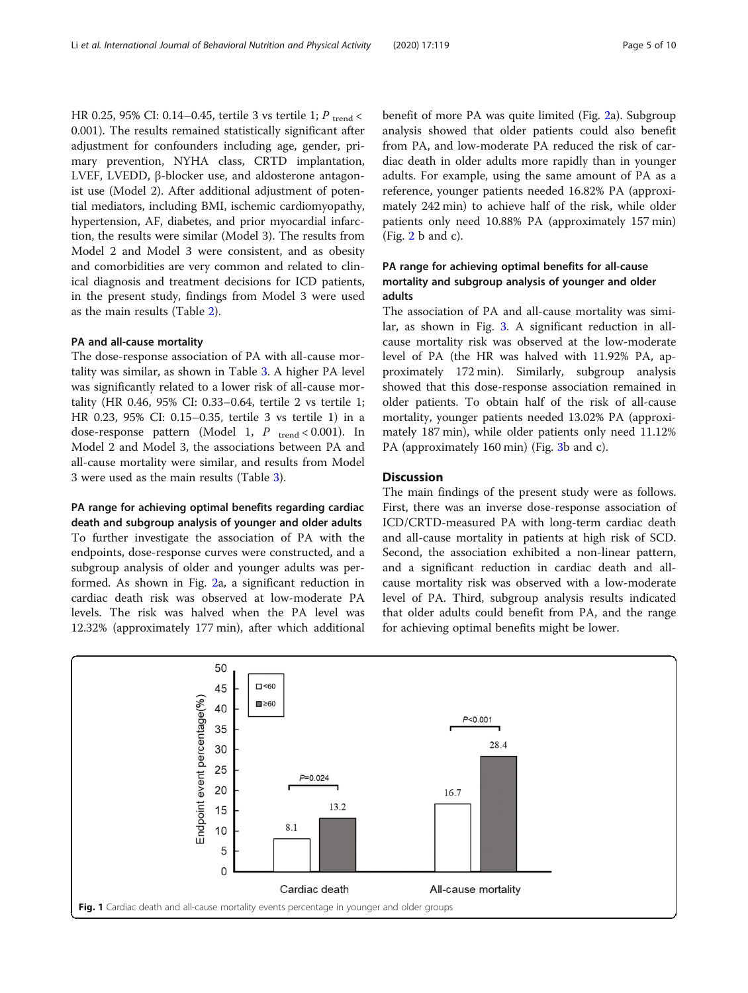<span id="page-4-0"></span>HR 0.25, 95% CI: 0.14–0.45, tertile 3 vs tertile 1;  $P_{\text{trend}}$  < 0.001). The results remained statistically significant after adjustment for confounders including age, gender, primary prevention, NYHA class, CRTD implantation, LVEF, LVEDD, β-blocker use, and aldosterone antagonist use (Model 2). After additional adjustment of potential mediators, including BMI, ischemic cardiomyopathy, hypertension, AF, diabetes, and prior myocardial infarction, the results were similar (Model 3). The results from Model 2 and Model 3 were consistent, and as obesity and comorbidities are very common and related to clinical diagnosis and treatment decisions for ICD patients, in the present study, findings from Model 3 were used as the main results (Table [2\)](#page-5-0).

## PA and all-cause mortality

The dose-response association of PA with all-cause mortality was similar, as shown in Table [3.](#page-5-0) A higher PA level was significantly related to a lower risk of all-cause mortality (HR 0.46, 95% CI: 0.33–0.64, tertile 2 vs tertile 1; HR 0.23, 95% CI: 0.15–0.35, tertile 3 vs tertile 1) in a dose-response pattern (Model 1,  $P_{\text{trend}} < 0.001$ ). In Model 2 and Model 3, the associations between PA and all-cause mortality were similar, and results from Model 3 were used as the main results (Table [3\)](#page-5-0).

## PA range for achieving optimal benefits regarding cardiac

death and subgroup analysis of younger and older adults To further investigate the association of PA with the endpoints, dose-response curves were constructed, and a subgroup analysis of older and younger adults was performed. As shown in Fig. [2a](#page-6-0), a significant reduction in cardiac death risk was observed at low-moderate PA levels. The risk was halved when the PA level was 12.32% (approximately 177 min), after which additional benefit of more PA was quite limited (Fig. [2](#page-6-0)a). Subgroup analysis showed that older patients could also benefit from PA, and low-moderate PA reduced the risk of cardiac death in older adults more rapidly than in younger adults. For example, using the same amount of PA as a reference, younger patients needed 16.82% PA (approximately 242 min) to achieve half of the risk, while older patients only need 10.88% PA (approximately 157 min)  $(Fig. 2 b and c).$  $(Fig. 2 b and c).$  $(Fig. 2 b and c).$ 

## PA range for achieving optimal benefits for all-cause mortality and subgroup analysis of younger and older adults

The association of PA and all-cause mortality was similar, as shown in Fig. [3](#page-7-0). A significant reduction in allcause mortality risk was observed at the low-moderate level of PA (the HR was halved with 11.92% PA, approximately 172 min). Similarly, subgroup analysis showed that this dose-response association remained in older patients. To obtain half of the risk of all-cause mortality, younger patients needed 13.02% PA (approximately 187 min), while older patients only need 11.12% PA (approximately 160 min) (Fig. [3b](#page-7-0) and c).

## **Discussion**

The main findings of the present study were as follows. First, there was an inverse dose-response association of ICD/CRTD-measured PA with long-term cardiac death and all-cause mortality in patients at high risk of SCD. Second, the association exhibited a non-linear pattern, and a significant reduction in cardiac death and allcause mortality risk was observed with a low-moderate level of PA. Third, subgroup analysis results indicated that older adults could benefit from PA, and the range for achieving optimal benefits might be lower.

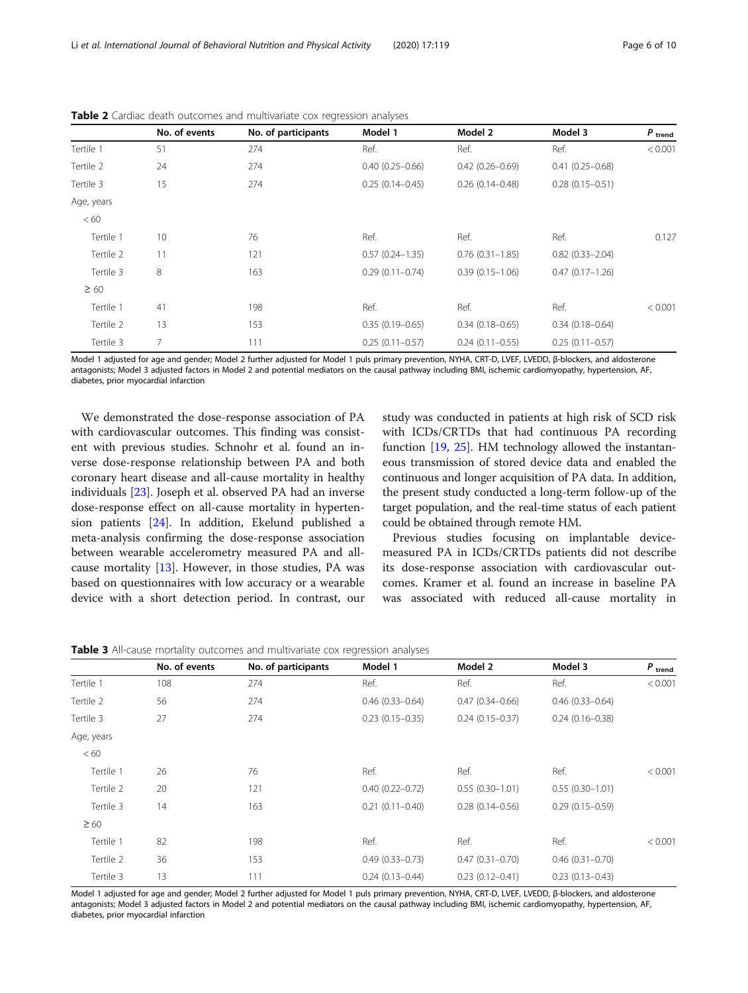<span id="page-5-0"></span>Li et al. International Journal of Behavioral Nutrition and Physical Activity (2020) 17:119 Page 6 of 10

|            | No. of events | No. of participants | Model 1             | Model 2             | Model 3                | $P$ trend |
|------------|---------------|---------------------|---------------------|---------------------|------------------------|-----------|
| Tertile 1  | 51            | 274                 | Ref.                | Ref.                | Ref.                   | < 0.001   |
| Tertile 2  | 24            | 274                 | $0.40(0.25 - 0.66)$ | $0.42(0.26 - 0.69)$ | $0.41(0.25 - 0.68)$    |           |
| Tertile 3  | 15            | 274                 | $0.25(0.14 - 0.45)$ | $0.26(0.14 - 0.48)$ | $0.28(0.15 - 0.51)$    |           |
| Age, years |               |                     |                     |                     |                        |           |
| < 60       |               |                     |                     |                     |                        |           |
| Tertile 1  | 10            | 76                  | Ref.                | Ref.                | Ref.                   | 0.127     |
| Tertile 2  | 11            | 121                 | $0.57(0.24 - 1.35)$ | $0.76(0.31 - 1.85)$ | $0.82$ $(0.33 - 2.04)$ |           |
| Tertile 3  | 8             | 163                 | $0.29(0.11 - 0.74)$ | $0.39(0.15 - 1.06)$ | $0.47(0.17 - 1.26)$    |           |
| $\geq 60$  |               |                     |                     |                     |                        |           |
| Tertile 1  | 41            | 198                 | Ref.                | Ref.                | Ref.                   | < 0.001   |
| Tertile 2  | 13            | 153                 | $0.35(0.19 - 0.65)$ | $0.34(0.18 - 0.65)$ | $0.34(0.18 - 0.64)$    |           |
| Tertile 3  | 7             | 111                 | $0.25(0.11 - 0.57)$ | $0.24(0.11 - 0.55)$ | $0.25(0.11 - 0.57)$    |           |

Table 2 Cardiac death outcomes and multivariate cox regression analyses

Model 1 adjusted for age and gender; Model 2 further adjusted for Model 1 puls primary prevention, NYHA, CRT-D, LVEF, LVEDD, β-blockers, and aldosterone antagonists; Model 3 adjusted factors in Model 2 and potential mediators on the causal pathway including BMI, ischemic cardiomyopathy, hypertension, AF, diabetes, prior myocardial infarction

We demonstrated the dose-response association of PA with cardiovascular outcomes. This finding was consistent with previous studies. Schnohr et al. found an inverse dose-response relationship between PA and both coronary heart disease and all-cause mortality in healthy individuals [[23\]](#page-9-0). Joseph et al. observed PA had an inverse dose-response effect on all-cause mortality in hypertension patients [[24](#page-9-0)]. In addition, Ekelund published a meta-analysis confirming the dose-response association between wearable accelerometry measured PA and allcause mortality [[13\]](#page-9-0). However, in those studies, PA was based on questionnaires with low accuracy or a wearable device with a short detection period. In contrast, our

study was conducted in patients at high risk of SCD risk with ICDs/CRTDs that had continuous PA recording function [[19,](#page-9-0) [25\]](#page-9-0). HM technology allowed the instantaneous transmission of stored device data and enabled the continuous and longer acquisition of PA data. In addition, the present study conducted a long-term follow-up of the target population, and the real-time status of each patient could be obtained through remote HM.

Previous studies focusing on implantable devicemeasured PA in ICDs/CRTDs patients did not describe its dose-response association with cardiovascular outcomes. Kramer et al. found an increase in baseline PA was associated with reduced all-cause mortality in

Table 3 All-cause mortality outcomes and multivariate cox regression analyses

|            | No. of events | No. of participants | Model 1             | Model 2             | Model 3             | $P_{\text{trend}}$ |
|------------|---------------|---------------------|---------------------|---------------------|---------------------|--------------------|
| Tertile 1  | 108           | 274                 | Ref.                | Ref.                | Ref.                | < 0.001            |
| Tertile 2  | 56            | 274                 | $0.46(0.33 - 0.64)$ | $0.47(0.34 - 0.66)$ | $0.46(0.33 - 0.64)$ |                    |
| Tertile 3  | 27            | 274                 | $0.23(0.15 - 0.35)$ | $0.24(0.15 - 0.37)$ | $0.24(0.16 - 0.38)$ |                    |
| Age, years |               |                     |                     |                     |                     |                    |
| < 60       |               |                     |                     |                     |                     |                    |
| Tertile 1  | 26            | 76                  | Ref.                | Ref.                | Ref.                | < 0.001            |
| Tertile 2  | 20            | 121                 | $0.40(0.22 - 0.72)$ | $0.55(0.30 - 1.01)$ | $0.55(0.30-1.01)$   |                    |
| Tertile 3  | 14            | 163                 | $0.21(0.11 - 0.40)$ | $0.28(0.14 - 0.56)$ | $0.29(0.15 - 0.59)$ |                    |
| $\geq 60$  |               |                     |                     |                     |                     |                    |
| Tertile 1  | 82            | 198                 | Ref.                | Ref.                | Ref.                | < 0.001            |
| Tertile 2  | 36            | 153                 | $0.49(0.33 - 0.73)$ | $0.47(0.31 - 0.70)$ | $0.46(0.31 - 0.70)$ |                    |
| Tertile 3  | 13            | 111                 | $0.24(0.13 - 0.44)$ | $0.23(0.12 - 0.41)$ | $0.23(0.13 - 0.43)$ |                    |

Model 1 adjusted for age and gender; Model 2 further adjusted for Model 1 puls primary prevention, NYHA, CRT-D, LVEF, LVEDD, β-blockers, and aldosterone antagonists; Model 3 adjusted factors in Model 2 and potential mediators on the causal pathway including BMI, ischemic cardiomyopathy, hypertension, AF, diabetes, prior myocardial infarction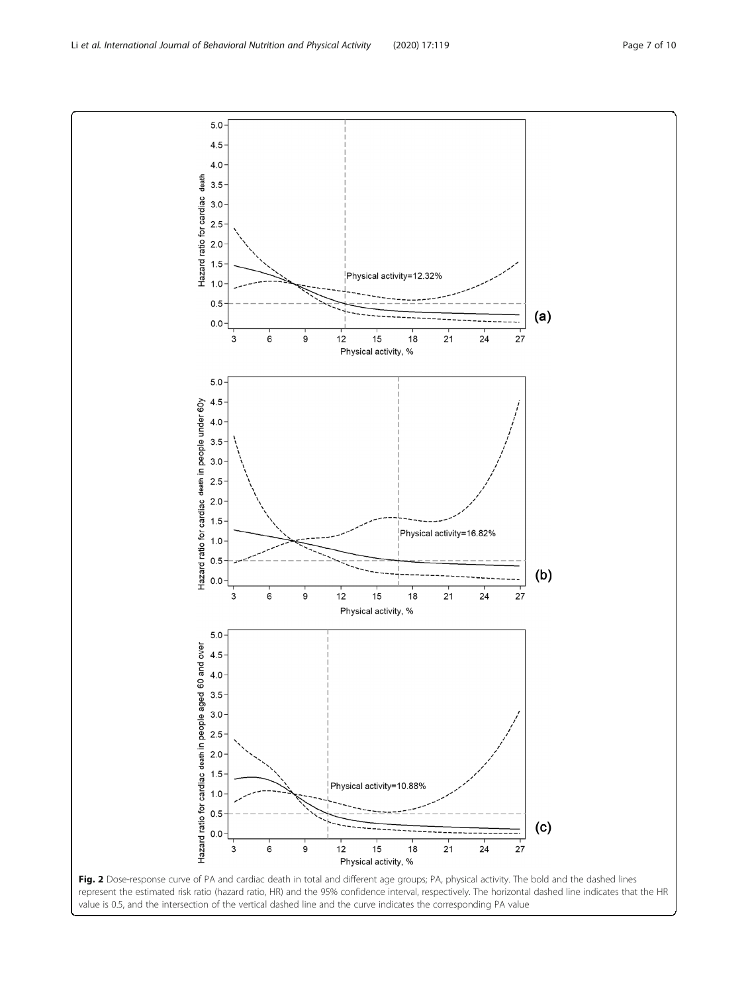value is 0.5, and the intersection of the vertical dashed line and the curve indicates the corresponding PA value

<span id="page-6-0"></span>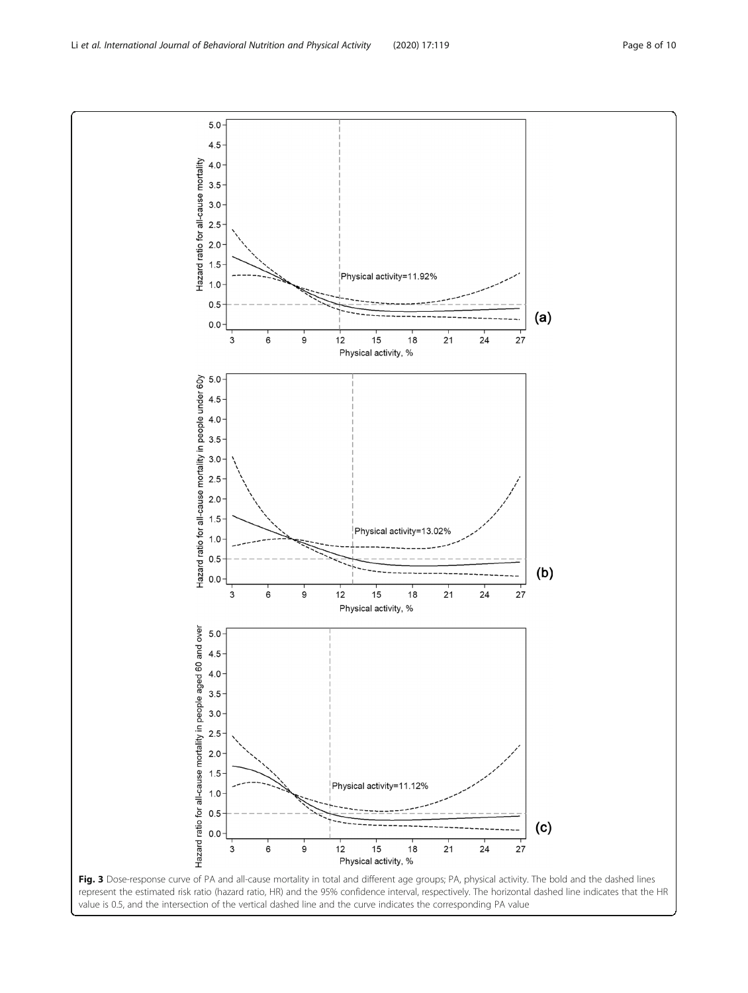Fig. 3 Dose-response curve of PA and all-cause mortality in total and different age groups; PA, physical activity. The bold and the dashed lines represent the estimated risk ratio (hazard ratio, HR) and the 95% confidence interval, respectively. The horizontal dashed line indicates that the HR value is 0.5, and the intersection of the vertical dashed line and the curve indicates the corresponding PA value

<span id="page-7-0"></span>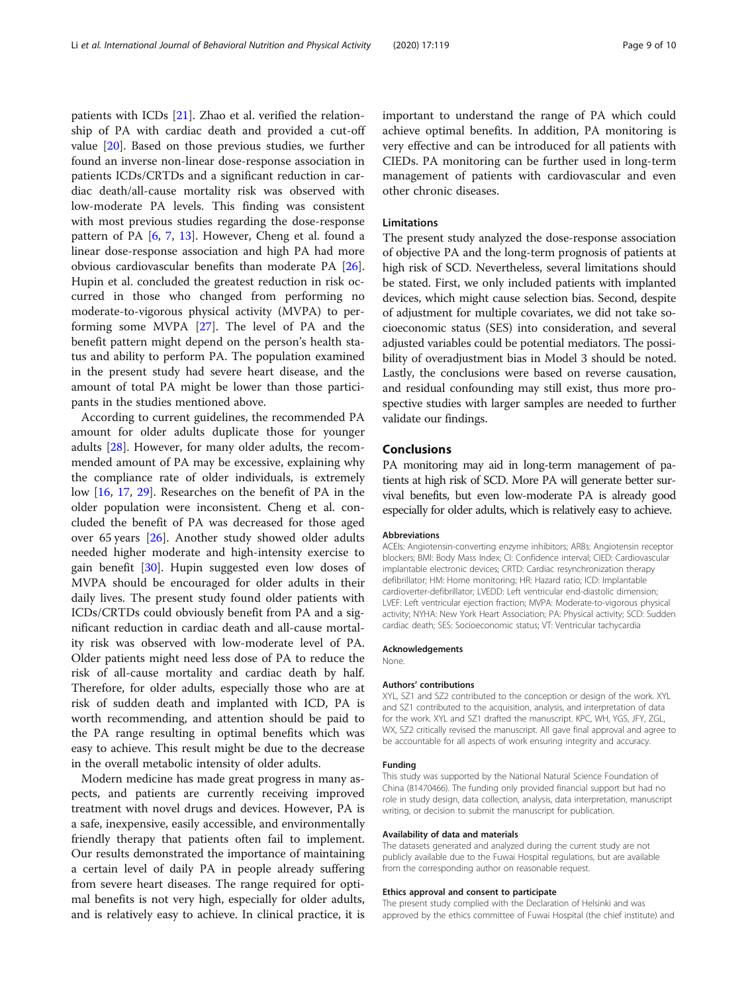patients with ICDs [\[21](#page-9-0)]. Zhao et al. verified the relationship of PA with cardiac death and provided a cut-off value [\[20](#page-9-0)]. Based on those previous studies, we further found an inverse non-linear dose-response association in patients ICDs/CRTDs and a significant reduction in cardiac death/all-cause mortality risk was observed with low-moderate PA levels. This finding was consistent with most previous studies regarding the dose-response pattern of PA [\[6,](#page-9-0) [7,](#page-9-0) [13\]](#page-9-0). However, Cheng et al. found a linear dose-response association and high PA had more obvious cardiovascular benefits than moderate PA [\[26](#page-9-0)]. Hupin et al. concluded the greatest reduction in risk occurred in those who changed from performing no moderate-to-vigorous physical activity (MVPA) to performing some MVPA [[27\]](#page-9-0). The level of PA and the benefit pattern might depend on the person's health status and ability to perform PA. The population examined in the present study had severe heart disease, and the amount of total PA might be lower than those participants in the studies mentioned above.

According to current guidelines, the recommended PA amount for older adults duplicate those for younger adults [[28\]](#page-9-0). However, for many older adults, the recommended amount of PA may be excessive, explaining why the compliance rate of older individuals, is extremely low [[16,](#page-9-0) [17](#page-9-0), [29\]](#page-9-0). Researches on the benefit of PA in the older population were inconsistent. Cheng et al. concluded the benefit of PA was decreased for those aged over 65 years [[26](#page-9-0)]. Another study showed older adults needed higher moderate and high-intensity exercise to gain benefit [\[30](#page-9-0)]. Hupin suggested even low doses of MVPA should be encouraged for older adults in their daily lives. The present study found older patients with ICDs/CRTDs could obviously benefit from PA and a significant reduction in cardiac death and all-cause mortality risk was observed with low-moderate level of PA. Older patients might need less dose of PA to reduce the risk of all-cause mortality and cardiac death by half. Therefore, for older adults, especially those who are at risk of sudden death and implanted with ICD, PA is worth recommending, and attention should be paid to the PA range resulting in optimal benefits which was easy to achieve. This result might be due to the decrease in the overall metabolic intensity of older adults.

Modern medicine has made great progress in many aspects, and patients are currently receiving improved treatment with novel drugs and devices. However, PA is a safe, inexpensive, easily accessible, and environmentally friendly therapy that patients often fail to implement. Our results demonstrated the importance of maintaining a certain level of daily PA in people already suffering from severe heart diseases. The range required for optimal benefits is not very high, especially for older adults, and is relatively easy to achieve. In clinical practice, it is important to understand the range of PA which could achieve optimal benefits. In addition, PA monitoring is very effective and can be introduced for all patients with CIEDs. PA monitoring can be further used in long-term management of patients with cardiovascular and even other chronic diseases.

## Limitations

The present study analyzed the dose-response association of objective PA and the long-term prognosis of patients at high risk of SCD. Nevertheless, several limitations should be stated. First, we only included patients with implanted devices, which might cause selection bias. Second, despite of adjustment for multiple covariates, we did not take socioeconomic status (SES) into consideration, and several adjusted variables could be potential mediators. The possibility of overadjustment bias in Model 3 should be noted. Lastly, the conclusions were based on reverse causation, and residual confounding may still exist, thus more prospective studies with larger samples are needed to further validate our findings.

## Conclusions

PA monitoring may aid in long-term management of patients at high risk of SCD. More PA will generate better survival benefits, but even low-moderate PA is already good especially for older adults, which is relatively easy to achieve.

#### Abbreviations

ACEIs: Angiotensin-converting enzyme inhibitors; ARBs: Angiotensin receptor blockers; BMI: Body Mass Index; CI: Confidence interval; CIED: Cardiovascular implantable electronic devices; CRTD: Cardiac resynchronization therapy defibrillator; HM: Home monitoring; HR: Hazard ratio; ICD: Implantable cardioverter-defibrillator; LVEDD: Left ventricular end-diastolic dimension; LVEF: Left ventricular ejection fraction; MVPA: Moderate-to-vigorous physical activity; NYHA: New York Heart Association; PA: Physical activity; SCD: Sudden cardiac death; SES: Socioeconomic status; VT: Ventricular tachycardia

## Acknowledgements

None.

## Authors' contributions

XYL, SZ1 and SZ2 contributed to the conception or design of the work. XYL and SZ1 contributed to the acquisition, analysis, and interpretation of data for the work. XYL and SZ1 drafted the manuscript. KPC, WH, YGS, JFY, ZGL, WX, SZ2 critically revised the manuscript. All gave final approval and agree to be accountable for all aspects of work ensuring integrity and accuracy.

#### Funding

This study was supported by the National Natural Science Foundation of China (81470466). The funding only provided financial support but had no role in study design, data collection, analysis, data interpretation, manuscript writing, or decision to submit the manuscript for publication.

## Availability of data and materials

The datasets generated and analyzed during the current study are not publicly available due to the Fuwai Hospital regulations, but are available from the corresponding author on reasonable request.

#### Ethics approval and consent to participate

The present study complied with the Declaration of Helsinki and was approved by the ethics committee of Fuwai Hospital (the chief institute) and